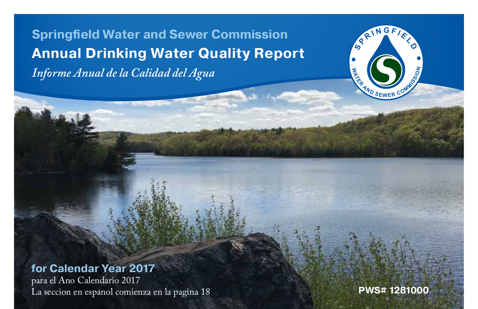**<sup>F</sup> <sup>I</sup> <sup>E</sup> <sup>L</sup> <sup>D</sup> Springfield Water and Sewer Commission Annual Drinking Water Quality Report** *Informe Anual de la Calidad del Agua*

#### **for Calendar Year 2017**

para el Ano Calendario 2017 La seccion en espanol comienza en la pagina 18 **PWS# 1281000**

**E**<br> **E**<br> **COMMS** 

**S P R I N G**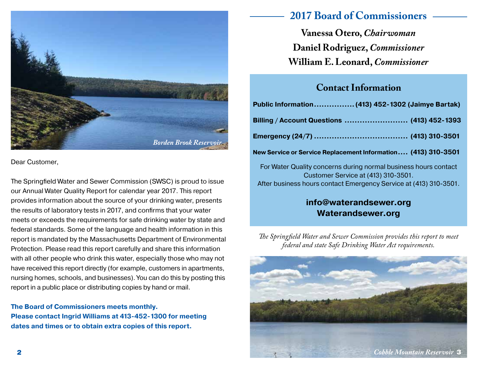

Dear Customer,

The Springfield Water and Sewer Commission (SWSC) is proud to issue our Annual Water Quality Report for calendar year 2017. This report provides information about the source of your drinking water, presents the results of laboratory tests in 2017, and confirms that your water meets or exceeds the requirements for safe drinking water by state and federal standards. Some of the language and health information in this report is mandated by the Massachusetts Department of Environmental Protection. Please read this report carefully and share this information with all other people who drink this water, especially those who may not have received this report directly (for example, customers in apartments, nursing homes, schools, and businesses). You can do this by posting this report in a public place or distributing copies by hand or mail.

**The Board of Commissioners meets monthly. Please contact Ingrid Williams at 413-452-1300 for meeting dates and times or to obtain extra copies of this report.**

# **2017 Board of Commissioners**

**Vanessa Otero,** *Chairwoman* **Daniel Rodriguez,** *Commissioner* **William E. Leonard,** *Commissioner*

## **Contact Information**

| Public Information (413) 452-1302 (Jaimye Bartak)                                                      |
|--------------------------------------------------------------------------------------------------------|
| Billing / Account Questions  (413) 452-1393                                                            |
|                                                                                                        |
| New Service or Service Replacement Information (413) 310-3501                                          |
| For Water Quality concerns during normal business hours contact<br>Customer Service at (413) 310-3501. |
| After business hours contact Emergency Service at (413) 310-3501.                                      |

#### **info@waterandsewer.org Waterandsewer.org**

*The Springfield Water and Sewer Commission provides this report to meet federal and state Safe Drinking Water Act requirements.*

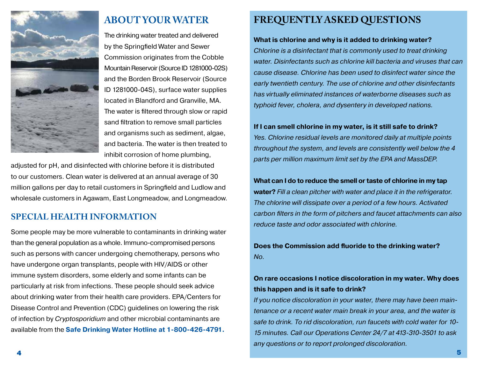

# **ABOUT YOUR WATER**

The drinking water treated and delivered by the Springfield Water and Sewer Commission originates from the Cobble Mountain Reservoir (Source ID 1281000-02S) and the Borden Brook Reservoir (Source ID 1281000-04S), surface water supplies located in Blandford and Granville, MA. The water is filtered through slow or rapid sand filtration to remove small particles and organisms such as sediment, algae, and bacteria. The water is then treated to inhibit corrosion of home plumbing,

adjusted for pH, and disinfected with chlorine before it is distributed to our customers. Clean water is delivered at an annual average of 30 million gallons per day to retail customers in Springfield and Ludlow and wholesale customers in Agawam, East Longmeadow, and Longmeadow.

#### **SPECIAL HEALTH INFORMATION**

Some people may be more vulnerable to contaminants in drinking water than the general population as a whole. Immuno-compromised persons such as persons with cancer undergoing chemotherapy, persons who have undergone organ transplants, people with HIV/AIDS or other immune system disorders, some elderly and some infants can be particularly at risk from infections. These people should seek advice about drinking water from their health care providers. EPA/Centers for Disease Control and Prevention (CDC) guidelines on lowering the risk of infection by *Cryptosporidium* and other microbial contaminants are available from the **Safe Drinking Water Hotline at 1-800-426-4791.**

## **FREQUENTLY ASKED QUESTIONS**

#### **What is chlorine and why is it added to drinking water?**

*Chlorine is a disinfectant that is commonly used to treat drinking water. Disinfectants such as chlorine kill bacteria and viruses that can cause disease. Chlorine has been used to disinfect water since the early twentieth century. The use of chlorine and other disinfectants has virtually eliminated instances of waterborne diseases such as typhoid fever, cholera, and dysentery in developed nations.*

#### **If I can smell chlorine in my water, is it still safe to drink?**

*Yes. Chlorine residual levels are monitored daily at multiple points throughout the system, and levels are consistently well below the 4 parts per million maximum limit set by the EPA and MassDEP.*

**What can I do to reduce the smell or taste of chlorine in my tap water?** *Fill a clean pitcher with water and place it in the refrigerator. The chlorine will dissipate over a period of a few hours. Activated carbon filters in the form of pitchers and faucet attachments can also reduce taste and odor associated with chlorine.*

**Does the Commission add fluoride to the drinking water?** *No.*

#### **On rare occasions I notice discoloration in my water. Why does this happen and is it safe to drink?**

*If you notice discoloration in your water, there may have been maintenance or a recent water main break in your area, and the water is safe to drink. To rid discoloration, run faucets with cold water for 10- 15 minutes. Call our Operations Center 24/7 at 413-310-3501 to ask any questions or to report prolonged discoloration.*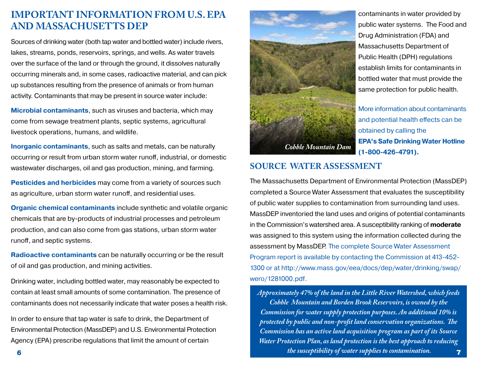## **IMPORTANT INFORMATION FROM U.S. EPA AND MASSACHUSETTS DEP**

Sources of drinking water (both tap water and bottled water) include rivers, lakes, streams, ponds, reservoirs, springs, and wells. As water travels over the surface of the land or through the ground, it dissolves naturally occurring minerals and, in some cases, radioactive material, and can pick up substances resulting from the presence of animals or from human activity. Contaminants that may be present in source water include:

**Microbial contaminants**, such as viruses and bacteria, which may come from sewage treatment plants, septic systems, agricultural livestock operations, humans, and wildlife.

**Inorganic contaminants**, such as salts and metals, can be naturally occurring or result from urban storm water runoff, industrial, or domestic wastewater discharges, oil and gas production, mining, and farming.

**Pesticides and herbicides** may come from a variety of sources such as agriculture, urban storm water runoff, and residential uses.

**Organic chemical contaminants** include synthetic and volatile organic chemicals that are by-products of industrial processes and petroleum production, and can also come from gas stations, urban storm water runoff, and septic systems.

**Radioactive contaminants** can be naturally occurring or be the result of oil and gas production, and mining activities.

Drinking water, including bottled water, may reasonably be expected to contain at least small amounts of some contamination. The presence of contaminants does not necessarily indicate that water poses a health risk.

In order to ensure that tap water is safe to drink, the Department of Environmental Protection (MassDEP) and U.S. Environmental Protection Agency (EPA) prescribe regulations that limit the amount of certain



contaminants in water provided by public water systems. The Food and Drug Administration (FDA) and Massachusetts Department of Public Health (DPH) regulations establish limits for contaminants in bottled water that must provide the same protection for public health.

More information about contaminants and potential health effects can be obtained by calling the **EPA's Safe Drinking Water Hotline (1-800-426-4791).**

#### **SOURCE WATER ASSESSMENT**

The Massachusetts Department of Environmental Protection (MassDEP) completed a Source Water Assessment that evaluates the susceptibility of public water supplies to contamination from surrounding land uses. MassDEP inventoried the land uses and origins of potential contaminants in the Commission's watershed area. A susceptibility ranking of **moderate** was assigned to this system using the information collected during the assessment by MassDEP. The complete Source Water Assessment Program report is available by contacting the Commission at 413-452- 1300 or at http://www.mass.gov/eea/docs/dep/water/drinking/swap/ wero/1281000.pdf.

*Approximately 47% of the land in the Little River Watershed, which feeds Cobble Mountain and Borden Brook Reservoirs, is owned by the Commission for water supply protection purposes. An additional 10% is protected by public and non-profit land conservation organizations. The Commission has an active land acquisition program as part of its Source Water Protection Plan, as land protection is the best approach to reducing the susceptibility of water supplies to contamination.* 7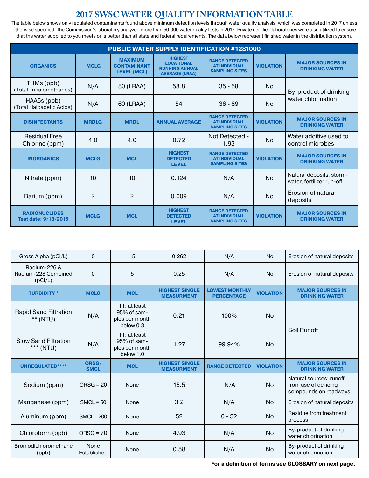## **2017 SWSC WATER QUALITY INFORMATION TABLE**

The table below shows only regulated contaminants found above minimum detection levels through water quality analysis, which was completed in 2017 unless otherwise specified. The Commission's laboratory analyzed more than 50,000 water quality tests in 2017. Private certified laboratories were also utilized to ensure that the water supplied to you meets or is better than all state and federal requirements. The data below represent finished water in the distribution system.

| <b>PUBLIC WATER SUPPLY IDENTIFICATION #1281000</b> |                |                                                            |                                                                                       |                                                                        |                  |                                                       |  |
|----------------------------------------------------|----------------|------------------------------------------------------------|---------------------------------------------------------------------------------------|------------------------------------------------------------------------|------------------|-------------------------------------------------------|--|
| <b>ORGANICS</b>                                    | <b>MCLG</b>    | <b>MAXIMUM</b><br><b>CONTAMINANT</b><br><b>LEVEL (MCL)</b> | <b>HIGHEST</b><br><b>LOCATIONAL</b><br><b>RUNNING ANNUAL</b><br><b>AVERAGE (LRAA)</b> | <b>RANGE DETECTED</b><br><b>AT INDIVIDUAL</b><br><b>SAMPLING SITES</b> | <b>VIOLATION</b> | <b>MAJOR SOURCES IN</b><br><b>DRINKING WATER</b>      |  |
| THMs (ppb)<br>(Total Trihalomethanes)              | N/A            | 80 (LRAA)                                                  | 58.8                                                                                  | $35 - 58$                                                              | <b>No</b>        | By-product of drinking                                |  |
| HAA5s (ppb)<br>(Total Haloacetic Acids)            | N/A            | 60 (LRAA)                                                  | 54                                                                                    | $36 - 69$                                                              | <b>No</b>        | water chlorination                                    |  |
| <b>DISINFECTANTS</b>                               | <b>MRDLG</b>   | <b>MRDL</b>                                                | <b>ANNUAL AVERAGE</b>                                                                 | <b>RANGE DETECTED</b><br><b>AT INDIVIDUAL</b><br><b>SAMPLING SITES</b> | <b>VIOLATION</b> | <b>MAJOR SOURCES IN</b><br><b>DRINKING WATER</b>      |  |
| <b>Residual Free</b><br>Chlorine (ppm)             | 4.0            | 4.0                                                        | 0.72                                                                                  | Not Detected -<br>1.93                                                 | <b>No</b>        | Water additive used to<br>control microbes            |  |
| <b>INORGANICS</b>                                  | <b>MCLG</b>    | <b>MCL</b>                                                 | <b>HIGHEST</b><br><b>DETECTED</b><br><b>LEVEL</b>                                     | <b>RANGE DETECTED</b><br><b>AT INDIVIDUAL</b><br><b>SAMPLING SITES</b> | <b>VIOLATION</b> | <b>MAJOR SOURCES IN</b><br><b>DRINKING WATER</b>      |  |
| Nitrate (ppm)                                      | 10             | 10                                                         | 0.124                                                                                 | N/A                                                                    | <b>No</b>        | Natural deposits, storm-<br>water, fertilizer run-off |  |
| Barium (ppm)                                       | $\overline{2}$ | $\overline{2}$                                             | 0.009                                                                                 | N/A                                                                    | <b>No</b>        | Erosion of natural<br>deposits                        |  |
| <b>RADIONUCLIDES</b><br>Test date: 9/18/2015       | <b>MCLG</b>    | <b>MCL</b>                                                 | <b>HIGHEST</b><br><b>DETECTED</b><br><b>LEVEL</b>                                     | <b>RANGE DETECTED</b><br><b>AT INDIVIDUAL</b><br><b>SAMPLING SITES</b> | <b>VIOLATION</b> | <b>MAJOR SOURCES IN</b><br><b>DRINKING WATER</b>      |  |

| Gross Alpha (pCi/L)                            | $\Omega$                   | 15                                                         | 0.262                                      | N/A                                        | <b>No</b>        | Erosion of natural deposits                                              |
|------------------------------------------------|----------------------------|------------------------------------------------------------|--------------------------------------------|--------------------------------------------|------------------|--------------------------------------------------------------------------|
| Radium-226 &<br>Radium-228 Combined<br>(pCi/L) | $\mathbf 0$                | 5                                                          | 0.25                                       | N/A                                        | <b>No</b>        | Erosion of natural deposits                                              |
| <b>TURBIDITY*</b>                              | <b>MCLG</b>                | <b>MCL</b>                                                 | <b>HIGHEST SINGLE</b><br><b>MEASURMENT</b> | <b>LOWEST MONTHLY</b><br><b>PERCENTAGE</b> | <b>VIOLATION</b> | <b>MAJOR SOURCES IN</b><br><b>DRINKING WATER</b>                         |
| <b>Rapid Sand Filtration</b><br>** (NTU)       | N/A                        | TT: at least<br>95% of sam-<br>ples per month<br>below 0.3 | 0.21                                       | 100%                                       | <b>No</b>        | Soil Runoff                                                              |
| <b>Slow Sand Filtration</b><br>*** (NTU)       | N/A                        | TT: at least<br>95% of sam-<br>ples per month<br>below 1.0 | 1.27                                       | 99.94%                                     | <b>No</b>        |                                                                          |
| <b>UNREGULATED****</b>                         | ORSG/<br><b>SMCL</b>       | <b>MCL</b>                                                 | <b>HIGHEST SINGLE</b><br><b>MEASURMENT</b> | <b>RANGE DETECTED</b>                      | <b>VIOLATION</b> | <b>MAJOR SOURCES IN</b><br><b>DRINKING WATER</b>                         |
| Sodium (ppm)                                   | $ORSG = 20$                | None                                                       | 15.5                                       | N/A                                        | <b>No</b>        | Natural sources: runoff<br>from use of de-icing<br>compounds on roadways |
| Manganese (ppm)                                | $SMCL = 50$                | None                                                       | 3.2                                        | N/A                                        | <b>No</b>        | Erosion of natural deposits                                              |
| Aluminum (ppm)                                 | $SMCL = 200$               | None                                                       | 52                                         | $0 - 52$                                   | <b>No</b>        | Residue from treatment<br>process                                        |
| Chloroform (ppb)                               | $ORSG = 70$                | None                                                       | 4.93                                       | N/A                                        | <b>No</b>        | By-product of drinking<br>water chlorination                             |
| Bromodichloromethane<br>(ppb)                  | <b>None</b><br>Established | None                                                       | 0.58                                       | N/A                                        | <b>No</b>        | By-product of drinking<br>water chlorination                             |

**For a definition of terms see GLOSSARY on next page.**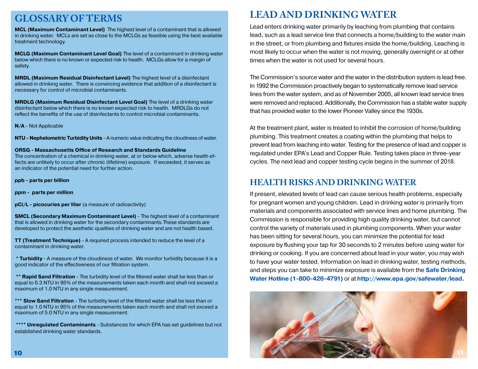## **GLOSSARY OF TERMS**

**MCL (Maximum Contaminant Level)** The highest level of a contaminant that is allowed in drinking water. MCLs are set as close to the MCLGs as feasible using the best available treatment technology.

**MCLG (Maximum Contaminant Level Goal)** The level of a contaminant in drinking water below which there is no known or expected risk to health. MCLGs allow for a margin of safety.

**MRDL (Maximum Residual Disinfectant Level)** The highest level of a disinfectant allowed in drinking water. There is convincing evidence that addition of a disinfectant is necessary for control of microbial contaminants.

**MRDLG (Maximum Residual Disinfectant Level Goal)** The level of a drinking water disinfectant below which there is no known expected risk to health. MRDLGs do not reflect the benefits of the use of disinfectants to control microbial contaminants.

**N/A** - Not Applicable

**NTU - Nephelometric Turbidity Units** - A numeric value indicating the cloudiness of water.

**ORSG - Massachusetts Office of Research and Standards Guideline**

The concentration of a chemical in drinking water, at or below which, adverse health effects are unlikely to occur after chronic (lifetime) exposure. If exceeded, it serves as an indicator of the potential need for further action.

**ppb - parts per billion**

**ppm - parts per million**

**pCi/L - picocuries per liter** (a measure of radioactivity)

**SMCL (Secondary Maximum Contaminant Level)** - The highest level of a contaminant that is allowed in drinking water for the secondary contaminants.These standards are developed to protect the aesthetic qualities of drinking water and are not health based.

**TT (Treatment Technique)** - A required process intended to reduce the level of a contaminant in drinking water.

**\* Turbidity** - A measure of the cloudiness of water. We monitor turbidity because it is a good indicator of the effectiveness of our filtration system.

 **\*\* Rapid Sand Filtration** - The turbidity level of the filtered water shall be less than or equal to 0.3 NTU in 95% of the measurements taken each month and shall not exceed a maximum of 1.0 NTU in any single measurement.

\*\*\* **Slow Sand Filtration** - The turbidity level of the filtered water shall be less than or equal to 1.0 NTU in 95% of the measurements taken each month and shall not exceed a maximum of 5.0 NTU in any single measurement.

 **\*\*\*\* Unregulated Contaminants** - Substances for which EPA has set guidelines but not established drinking water standards.

## **LEAD AND DRINKING WATER**

Lead enters drinking water primarily by leaching from plumbing that contains lead, such as a lead service line that connects a home/building to the water main in the street, or from plumbing and fixtures inside the home/building. Leaching is most likely to occur when the water is not moving, generally overnight or at other times when the water is not used for several hours.

The Commission's source water and the water in the distribution system is lead free. In 1992 the Commission proactively began to systematically remove lead service lines from the water system, and as of November 2005, all known lead service lines were removed and replaced. Additionally, the Commission has a stable water supply that has provided water to the lower Pioneer Valley since the 1930s.

At the treatment plant, water is treated to inhibit the corrosion of home/building plumbing. This treatment creates a coating within the plumbing that helps to prevent lead from leaching into water. Testing for the presence of lead and copper is regulated under EPA's Lead and Copper Rule. Testing takes place in three-year cycles. The next lead and copper testing cycle begins in the summer of 2018.

#### **HEALTH RISKS AND DRINKING WATER**

If present, elevated levels of lead can cause serious health problems, especially for pregnant women and young children. Lead in drinking water is primarily from materials and components associated with service lines and home plumbing. The Commission is responsible for providing high quality drinking water, but cannot control the variety of materials used in plumbing components. When your water has been sitting for several hours, you can minimize the potential for lead exposure by flushing your tap for 30 seconds to 2 minutes before using water for drinking or cooking. If you are concerned about lead in your water, you may wish to have your water tested. Information on lead in drinking water, testing methods, and steps you can take to minimize exposure is available from the **Safe Drinking Water Hotline (1-800-426-4791)** or at **http://www.epa.gov/safewater/lead.**

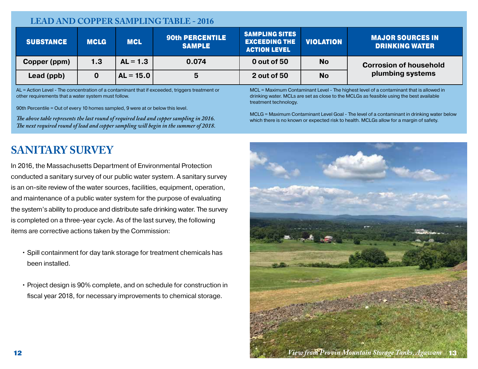## **LEAD AND COPPER SAMPLING TABLE - 2016**

| <b>SUBSTANCE</b> | <b>MCLG</b> | <b>MCL</b>  | <b>90th PERCENTILE</b><br><b>SAMPLE</b> | <b>SAMPLING SITES</b><br><b>EXCEEDING THE</b><br><b>ACTION LEVEL</b> | <b>VIOLATION</b> | <b>MAJOR SOURCES IN</b><br><b>DRINKING WATER</b> |
|------------------|-------------|-------------|-----------------------------------------|----------------------------------------------------------------------|------------------|--------------------------------------------------|
| Copper (ppm)     | 1.3         | $AL = 1.3$  | 0.074                                   | 0 out of 50                                                          | <b>No</b>        | <b>Corrosion of household</b>                    |
| Lead (ppb)       |             | $AL = 15.0$ | 5                                       | 2 out of 50                                                          | <b>No</b>        | plumbing systems                                 |

AL = Action Level - The concentration of a contaminant that if exceeded, triggers treatment or other requirements that a water system must follow.

90th Percentile = Out of every 10 homes sampled, 9 were at or below this level.

*The above table represents the last round of required lead and copper sampling in 2016. The next required round of lead and copper sampling will begin in the summer of 2018.*

# **SANITARY SURVEY**

In 2016, the Massachusetts Department of Environmental Protection conducted a sanitary survey of our public water system. A sanitary survey is an on-site review of the water sources, facilities, equipment, operation, and maintenance of a public water system for the purpose of evaluating the system's ability to produce and distribute safe drinking water. The survey is completed on a three-year cycle. As of the last survey, the following items are corrective actions taken by the Commission:

- Spill containment for day tank storage for treatment chemicals has been installed.
- Project design is 90% complete, and on schedule for construction in fiscal year 2018, for necessary improvements to chemical storage.

MCL = Maximum Contaminant Level - The highest level of a contaminant that is allowed in drinking water. MCLs are set as close to the MCLGs as feasible using the best available treatment technology.

MCLG = Maximum Contaminant Level Goal - The level of a contaminant in drinking water below which there is no known or expected risk to health. MCLGs allow for a margin of safety.

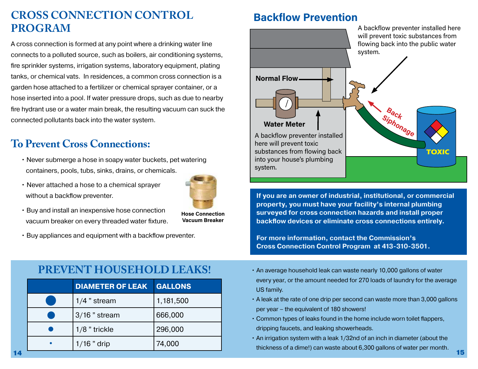# **CROSS CONNECTION CONTROL PROGRAM**

A cross connection is formed at any point where a drinking water line connects to a polluted source, such as boilers, air conditioning systems, fire sprinkler systems, irrigation systems, laboratory equipment, plating tanks, or chemical vats. In residences, a common cross connection is a garden hose attached to a fertilizer or chemical sprayer container, or a hose inserted into a pool. If water pressure drops, such as due to nearby fire hydrant use or a water main break, the resulting vacuum can suck the connected pollutants back into the water system.

# **To Prevent Cross Connections:**

- Never submerge a hose in soapy water buckets, pet watering containers, pools, tubs, sinks, drains, or chemicals.
- Never attached a hose to a chemical sprayer without a backflow preventer.



**Hose Connection Vacuum Breaker**

- Buy and install an inexpensive hose connection vacuum breaker on every threaded water fixture.
- Buy appliances and equipment with a backflow preventer.

# **PREVENT HOUSEHOLD LEAKS!**

|    | <b>DIAMETER OF LEAK</b> | <b>GALLONS</b> | every year, or the amount needed for 270 loads of laundry for the average<br>US family.                                                                |
|----|-------------------------|----------------|--------------------------------------------------------------------------------------------------------------------------------------------------------|
|    | 1/4 " stream            | 1,181,500      | A leak at the rate of one drip per second can waste more than 3,000 gallons                                                                            |
|    | $3/16$ " stream         | 666,000        | per year – the equivalent of 180 showers!<br>• Common types of leaks found in the home include worn toilet flappers,                                   |
|    | 1/8 " trickle           | 296,000        | dripping faucets, and leaking showerheads.                                                                                                             |
|    | 1/16 " drip             | 74,000         | . An irrigation system with a leak 1/32nd of an inch in diameter (about the<br>thickness of a dime!) can waste about 6,300 gallons of water per month. |
| 14 |                         |                | 15                                                                                                                                                     |

# **Backflow Prevention**



**If you are an owner of industrial, institutional, or commercial property, you must have your facility's internal plumbing surveyed for cross connection hazards and install proper backflow devices or eliminate cross connections entirely.**

**For more information, contact the Commission's Cross Connection Control Program at 413-310-3501.**

- An average household leak can waste nearly 10,000 gallons of water every year, or the amount needed for 270 loads of laundry for the average US family.
- A leak at the rate of one drip per second can waste more than 3,000 gallons per year – the equivalent of 180 showers!
- Common types of leaks found in the home include worn toilet flappers, dripping faucets, and leaking showerheads.
- An irrigation system with a leak 1/32nd of an inch in diameter (about the thickness of a dime!) can waste about 6,300 gallons of water per month.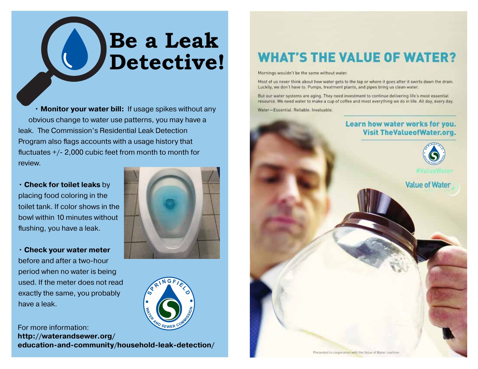# **Be a Leak Detective!**

• **Monitor your water bill:** If usage spikes without any obvious change to water use patterns, you may have a leak. The Commission's Residential Leak Detection Program also flags accounts with a usage history that fluctuates +/- 2,000 cubic feet from month to month for review.

• **Check for toilet leaks** by placing food coloring in the toilet tank. If color shows in the bowl within 10 minutes without flushing, you have a leak.

• **Check your water meter** before and after a two-hour period when no water is being used. If the meter does not read exactly the same, you probably have a leak.

**SRINGFIELD** For more information: **http://waterandsewer.org/ education-and-community/household-leak-detection/**

# **WHAT'S THE VALUE OF WATER?**

Mornings wouldn't be the same without water.

Most of us never think about how water gets to the tap or where it goes after it swirls down the drain. Luckily, we don't have to. Pumps, treatment plants, and pipes bring us clean water.

But our water systems are aging. They need investment to continue delivering life's most essential resource. We need water to make a cup of coffee and most everything we do in life. All day, every day.

Water-Essential, Reliable, Invaluable.

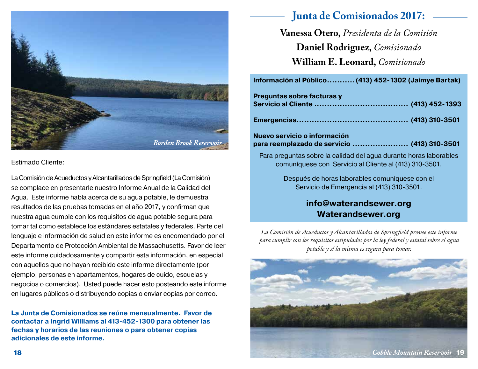

Estimado Cliente:

La Comisión de Acueductos y Alcantarillados de Springfield (La Comisión) se complace en presentarle nuestro Informe Anual de la Calidad del Agua. Este informe habla acerca de su agua potable, le demuestra resultados de las pruebas tomadas en el año 2017, y confirman que nuestra agua cumple con los requisitos de agua potable segura para tomar tal como establece los estándares estatales y federales. Parte del lenguaje e información de salud en este informe es encomendado por el Departamento de Protección Ambiental de Massachusetts. Favor de leer este informe cuidadosamente y compartir esta información, en especial con aquellos que no hayan recibido este informe directamente (por ejemplo, personas en apartamentos, hogares de cuido, escuelas y negocios o comercios). Usted puede hacer esto posteando este informe en lugares públicos o distribuyendo copias o enviar copias por correo.

**La Junta de Comisionados se reúne mensualmente. Favor de contactar a Ingrid Williams al 413-452-1300 para obtener las fechas y horarios de las reuniones o para obtener copias adicionales de este informe.**

# **Junta de Comisionados 2017:**

**Vanessa Otero,** *Presidenta de la Comisión* **Daniel Rodriguez,** *Comisionado* **William E. Leonard,** *Comisionado*

| Información al Público (413) 452-1302 (Jaimye Bartak)                                                                       |  |
|-----------------------------------------------------------------------------------------------------------------------------|--|
| Preguntas sobre facturas y                                                                                                  |  |
|                                                                                                                             |  |
|                                                                                                                             |  |
| Nuevo servicio o información<br>para reemplazado de servicio  (413) 310-3501                                                |  |
| Para preguntas sobre la calidad del agua durante horas laborables<br>comuníquese con Servicio al Cliente al (413) 310-3501. |  |

Después de horas laborables comuníquese con el Servicio de Emergencia al (413) 310-3501.

## **info@waterandsewer.org Waterandsewer.org**

*La Comisión de Acueductos y Alcantarillados de Springfield provee este informe para cumplir con los requisitos estipulados por la ley federal y estatal sobre el agua potable y sí la misma es segura para tomar.* 

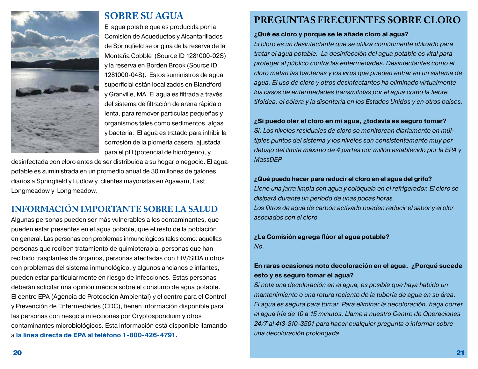

## **SOBRE SU AGUA**

El agua potable que es producida por la Comisión de Acueductos y Alcantarillados de Springfield se origina de la reserva de la Montaña Cobble (Source ID 1281000-02S) y la reserva en Borden Brook (Source ID 1281000-04S). Estos suministros de agua superficial están localizados en Blandford y Granville, MA. El agua es filtrada a través del sistema de filtración de arena rápida o lenta, para remover partículas pequeñas y organismos tales como sedimentos, algas y bacteria. El agua es tratado para inhibir la corrosión de la plomería casera, ajustada para el pH (potencial de hidrógeno), y

desinfectada con cloro antes de ser distribuida a su hogar o negocio. El agua potable es suministrada en un promedio anual de 30 millones de galones diarios a Springfield y Ludlow y clientes mayoristas en Agawam, East Longmeadow y Longmeadow.

## **INFORMACIÓN IMPORTANTE SOBRE LA SALUD**

Algunas personas pueden ser más vulnerables a los contaminantes, que pueden estar presentes en el agua potable, que el resto de la población en general. Las personas con problemas inmunológicos tales como: aquellas personas que reciben tratamiento de quimioterapia, personas que han recibido trasplantes de órganos, personas afectadas con HIV/SIDA u otros con problemas del sistema inmunológico, y algunos ancianos e infantes, pueden estar particularmente en riesgo de infecciones. Estas personas deberán solicitar una opinión médica sobre el consumo de agua potable. El centro EPA (Agencia de Protección Ambiental) y el centro para el Control y Prevención de Enfermedades (CDC), tienen información disponible para las personas con riesgo a infecciones por Cryptosporidium y otros contaminantes microbiológicos. Esta información está disponible llamando a **la línea directa de EPA al teléfono 1-800-426-4791.**

## **PREGUNTAS FRECUENTES SOBRE CLORO**

#### **¿Qué es cloro y porque se le añade cloro al agua?**

*El cloro es un desinfectante que se utiliza comúnmente utilizado para tratar el agua potable. La desinfección del agua potable es vital para proteger al público contra las enfermedades. Desinfectantes como el cloro matan las bacterias y los virus que pueden entrar en un sistema de agua. El uso de cloro y otros desinfectantes ha eliminado virtualmente los casos de enfermedades transmitidas por el agua como la fiebre tifoidea, el cólera y la disentería en los Estados Unidos y en otros países.* 

#### **¿Si puedo oler el cloro en mi agua, ¿todavía es seguro tomar?**

*Sí. Los niveles residuales de cloro se monitorean diariamente en múltiples puntos del sistema y los niveles son consistentemente muy por debajo del límite máximo de 4 partes por millón establecido por la EPA y MassDEP.*

#### **¿Qué puedo hacer para reducir el cloro en el agua del grifo?**

*Llene una jarra limpia con agua y colóquela en el refrigerador. El cloro se disipará durante un período de unas pocas horas. Los filtros de agua de carbón activado pueden reducir el sabor y el olor asociados con el cloro.* 

**¿La Comisión agrega flúor al agua potable?**  *No.*

#### **En raras ocasiones noto decoloración en el agua. ¿Porqué sucede esto y es seguro tomar el agua?**

*Si nota una decoloración en el agua, es posible que haya habido un mantenimiento o una rotura reciente de la tubería de agua en su área. El agua es segura para tomar. Para eliminar la decoloración, haga correr el agua fría de 10 a 15 minutos. Llame a nuestro Centro de Operaciones 24/7 al 413-310-3501 para hacer cualquier pregunta o informar sobre una decoloración prolongada.*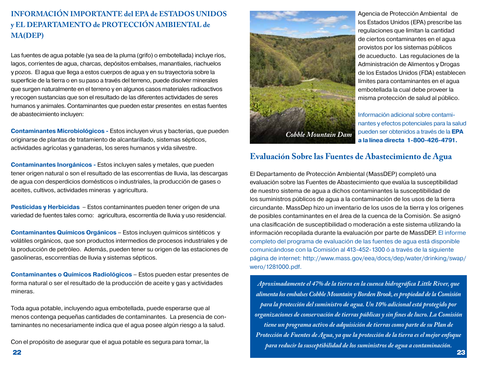#### **INFORMACIÓN IMPORTANTE del EPA de ESTADOS UNIDOS y EL DEPARTAMENTO de PROTECCIÓN AMBIENTAL de MA(DEP)**

Las fuentes de agua potable (ya sea de la pluma (grifo) o embotellada) incluye ríos, lagos, corrientes de agua, charcas, depósitos embalses, manantiales, riachuelos y pozos. El agua que llega a estos cuerpos de agua y en su trayectoria sobre la superficie de la tierra o en su paso a través del terreno, puede disolver minerales que surgen naturalmente en el terreno y en algunos casos materiales radioactivos y recogen sustancias que son el resultado de las diferentes actividades de seres humanos y animales. Contaminantes que pueden estar presentes en estas fuentes de abastecimiento incluyen:

**Contaminantes Microbiológicos -** Estos incluyen virus y bacterias, que pueden originarse de plantas de tratamiento de alcantarillado, sistemas sépticos, actividades agrícolas y ganaderas, los seres humanos y vida silvestre.

**Contaminantes Inorgánicos -** Estos incluyen sales y metales, que pueden tener origen natural o son el resultado de las escorrentías de lluvia, las descargas de agua con desperdicios domésticos o industriales, la producción de gases o aceites, cultivos, actividades mineras y agricultura.

**Pesticidas y Herbicidas** – Estos contaminantes pueden tener origen de una variedad de fuentes tales como: agricultura, escorrentía de lluvia y uso residencial.

**Contaminantes Químicos Orgánicos** – Estos incluyen químicos sintéticos y volátiles orgánicos, que son productos intermedios de procesos industriales y de la producción de petróleo. Además, pueden tener su origen de las estaciones de gasolineras, escorrentías de lluvia y sistemas sépticos.

**Contaminantes o Químicos Radiológicos** – Estos pueden estar presentes de forma natural o ser el resultado de la producción de aceite y gas y actividades mineras.

Toda agua potable, incluyendo agua embotellada, puede esperarse que al menos contenga pequeñas cantidades de contaminantes. La presencia de contaminantes no necesariamente indica que el agua posee algún riesgo a la salud.

Con el propósito de asegurar que el agua potable es segura para tomar, la



Agencia de Protección Ambiental de los Estados Unidos (EPA) prescribe las regulaciones que limitan la cantidad de ciertos contaminantes en el agua provistos por los sistemas públicos de acueducto. Las regulaciones de la Administración de Alimentos y Drogas de los Estados Unidos (FDA) establecen límites para contaminantes en el agua embotellada la cual debe proveer la misma protección de salud al público.

Información adicional sobre contaminantes y efectos potenciales para la salud pueden ser obtenidos a través de la **EPA a la línea directa 1-800-426-4791.** 

#### **Evaluación Sobre las Fuentes de Abastecimiento de Agua**

El Departamento de Protección Ambiental (MassDEP) completó una evaluación sobre las Fuentes de Abastecimiento que evalúa la susceptibilidad de nuestro sistema de agua a dichos contaminantes la susceptibilidad de los suministros públicos de agua a la contaminación de los usos de la tierra circundante. MassDep hizo un inventario de los usos de la tierra y los orígenes de posibles contaminantes en el área de la cuenca de la Comisión. Se asignó una clasificación de susceptibilidad o moderación a este sistema utilizando la información recopilada durante la evaluación por parte de MassDEP. El informe completo del programa de evaluación de las fuentes de agua está disponible comunicándose con la Comisión al 413-452-1300 ó a través de la siguiente página de internet: http://www.mass.gov/eea/docs/dep/water/drinking/swap/ wero/1281000.pdf.

*Aproximadamente el 47% de la tierra en la cuenca hidrográfica Little River, que alimenta los embalses Cobble Mountain y Borden Brook, es propiedad de la Comisión para la protección del suministro de agua. Un 10% adicional está protegido por organizaciones de conservación de tierras públicas y sin fines de lucro. La Comisión tiene un programa activo de adquisición de tierras como parte de su Plan de Protección de Fuentes de Agua, ya que la protección de la tierra es el mejor enfoque para reducir la susceptibilidad de los suministros de agua a contaminación.*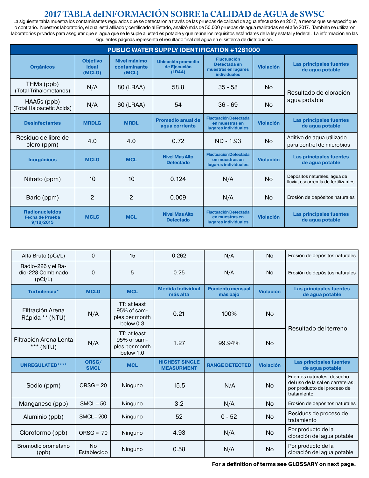## **2017 TABLA deINFORMACIÓN SOBRE la CALIDAD de AGUA de SWSC**

La siguiente tabla muestra los contaminantes regulados que se detectaron a través de las pruebas de calidad de agua efectuado en 2017, a menos que se especifique lo contrario. Nuestros laboratorio, el cual está afiliado y certificado al Estado, analizó más de 50,000 pruebas de agua realizadas en el año 2017. También se utilizaron laboratorios privados para asegurar que el agua que se le suple a usted es potable y que reúne los requisitos estándares de la ley estatal y federal. La información en las siguientes páginas representa el resultado final del agua en el sistema de distribución.

| <b>PUBLIC WATER SUPPLY IDENTIFICATION #1281000</b>    |                                    |                                       |                                                     |                                                                                  |                  |                                                                      |  |
|-------------------------------------------------------|------------------------------------|---------------------------------------|-----------------------------------------------------|----------------------------------------------------------------------------------|------------------|----------------------------------------------------------------------|--|
| <b>Orgánicos</b>                                      | <b>Objetivo</b><br>ideal<br>(MCLG) | Nivel máximo<br>contaminante<br>(MCL) | <b>Ubicación promedio</b><br>de Ejecución<br>(LRAA) | <b>Fluctuación</b><br>Detectada en<br>muestras en lugares<br><b>individuales</b> | <b>Violación</b> | <b>Las principales fuentes</b><br>de aqua potable                    |  |
| THMs (ppb)<br>(Total Trihalometanos)                  | N/A                                | 80 (LRAA)                             | 58.8                                                | $35 - 58$                                                                        | <b>No</b>        | Resultado de cloración                                               |  |
| HAA5s (ppb)<br>(Total Haloacetic Acids)               | N/A                                | 60 (LRAA)                             | 54                                                  | <b>No</b><br>$36 - 69$                                                           |                  | agua potable                                                         |  |
| <b>Desinfectantes</b>                                 | <b>MRDLG</b>                       | <b>MRDL</b>                           | <b>Promedio anual de</b><br>aqua corriente          | <b>Fluctuación Detectada</b><br>en muestras en<br>lugares individuales           | <b>Violación</b> | Las principales fuentes<br>de aqua potable                           |  |
| Residuo de libre de<br>cloro (ppm)                    | 4.0                                | 4.0                                   | 0.72                                                | ND - 1.93                                                                        | <b>No</b>        | Aditivo de agua utilizado<br>para control de microbios               |  |
| <b>Inorgánicos</b>                                    | <b>MCLG</b>                        | <b>MCL</b>                            | <b>Nivel Mas Alto</b><br><b>Detectado</b>           | <b>Fluctuación Detectada</b><br>en muestras en<br>lugares individuales           | <b>Violación</b> | <b>Las principales fuentes</b><br>de aqua potable                    |  |
| Nitrato (ppm)                                         | 10                                 | 10                                    | 0.124                                               | N/A                                                                              | <b>No</b>        | Depósitos naturales, agua de<br>Iluvia, escorrentía de fertilizantes |  |
| Bario (ppm)                                           | $\mathcal{P}$                      | 2                                     | 0.009                                               | N/A                                                                              | <b>No</b>        | Erosión de depósitos naturales                                       |  |
| <b>Radionucleidos</b><br>Fecha de Prueba<br>9/18/2015 | <b>MCLG</b>                        | <b>MCL</b>                            | <b>Nivel Mas Alto</b><br><b>Detectado</b>           | <b>Fluctuación Detectada</b><br>en muestras en<br>lugares individuales           | <b>Violación</b> | <b>Las principales fuentes</b><br>de aqua potable                    |  |

| Alfa Bruto (pCi/L)                                 | $\Omega$             | 15                                                            | 0.262                                      | N/A                                  | <b>No</b>        | Erosión de depósitos naturales                                                                               |  |
|----------------------------------------------------|----------------------|---------------------------------------------------------------|--------------------------------------------|--------------------------------------|------------------|--------------------------------------------------------------------------------------------------------------|--|
| Radio-226 y el Ra-<br>dio-228 Combinado<br>(pCi/L) | $\mathbf 0$          | 5                                                             | 0.25                                       | N/A                                  | <b>No</b>        | Erosión de depósitos naturales                                                                               |  |
| Turbulencia*                                       | <b>MCLG</b>          | <b>MCL</b>                                                    | <b>Medida Individual</b><br>más alta       | <b>Porciento mensual</b><br>más bajo | <b>Violación</b> | <b>Las principales fuentes</b><br>de agua potable                                                            |  |
| Filtración Arena<br>Rápida ** (NTU)                | N/A                  | TT: at least<br>$95%$ of sam-<br>ples per month<br>below 0.3  | 0.21                                       | 100%                                 | <b>No</b>        | Resultado del terreno                                                                                        |  |
| Filtración Arena Lenta<br>*** (NTU)                | N/A                  | TT: at least<br>$95\%$ of sam-<br>ples per month<br>below 1.0 | 1.27                                       | 99.94%                               | <b>No</b>        |                                                                                                              |  |
| <b>UNREGULATED****</b>                             | ORSG/<br><b>SMCL</b> | <b>MCL</b>                                                    | <b>HIGHEST SINGLE</b><br><b>MEASURMENT</b> | <b>RANGE DETECTED</b>                | <b>Violación</b> | <b>Las principales fuentes</b><br>de agua potable                                                            |  |
| Sodio (ppm)                                        | $ORSG = 20$          | Ninguno                                                       | 15.5                                       | N/A                                  | <b>No</b>        | Fuentes naturales; desecho<br>del uso de la sal en carreteras;<br>por producto del proceso de<br>tratamiento |  |
| Manganeso (ppb)                                    | $SMCL = 50$          | Ninguno                                                       | 3.2                                        | N/A                                  | N <sub>0</sub>   | Erosión de depósitos naturales                                                                               |  |
| Aluminio (ppb)                                     | $SMCL = 200$         | Ninguno                                                       | 52                                         | $0 - 52$                             | <b>No</b>        | Residuos de proceso de<br>tratamiento                                                                        |  |
| Cloroformo (ppb)                                   | $ORSG = 70$          | Ninguno                                                       | 4.93                                       | N/A                                  | <b>No</b>        | Por producto de la<br>cloración del agua potable                                                             |  |
| Bromodiclorometano<br>(ppb)                        | <b>No</b>            | Ninguno                                                       | 0.58                                       | N/A                                  | <b>No</b>        | Por producto de la<br>cloración del agua potable                                                             |  |

**For a definition of terms see GLOSSARY on next page.**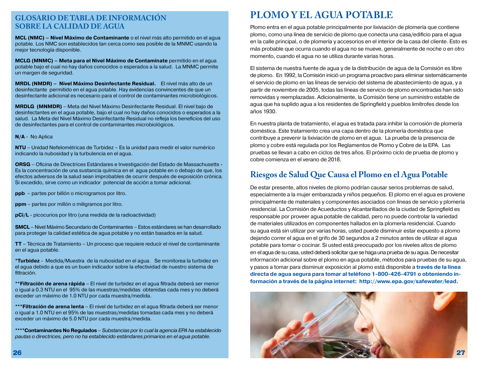#### **GLOSARIO DE TABLA DE INFORMACIÓN SOBRE LA CALIDAD DE AGUA**

**MCL (NMC) – Nivel Máximo de Contaminante** o el nivel más alto permitido en el agua potable. Los NMC son establecidos tan cerca como sea posible de la MNMC usando la mejor tecnología disponible.

**MCLG (MNMC) – Meta para el Nivel Máximo de Contamínate** permitido en el agua potable bajo el cual no hay daños conocidos o esperados a la salud. La MNMC permite un margen de seguridad.

**MRDL (NMDR) – Nivel Máximo Desinfectante Residual.** El nivel más alto de un desinfectante permitido en el agua potable. Hay evidencias convincentes de que un desinfectante adicional es necesario para el control de contaminantes microbiológicos.

**MRDLG (MNMDR)** – Meta del Nivel Máximo Desinfectante Residual. El nivel bajo de desinfectantes en el agua potable, bajo el cual no hay daños conocidos o esperados a la salud. La Meta del Nivel Máximo Desinfectante Residual no refleja los beneficios del uso de desinfectantes para el control de contaminantes microbiológicos.

#### **N/A** - No Aplica

**NTU** – Unidad Nefelométricas de Turbidez – Es la unidad para medir el valor numérico indicando la nubosidad y la turbulencia en el agua.

**ORSG** – Oficina de Directrices Estándares e Investigación del Estado de Massachusetts - Es la concentración de una sustancia química en el agua potable en o debajo de que, los efectos adversos de la salud sean improbables de ocurrir después de exposición crónica. Si excedido, sirve como un indicador potencial de acción a tomar adicional.

**ppb** – partes por billón o microgramos por litro.

**ppm** – partes por millón o miligramos por litro.

**pCi/L** - picocurios por litro (una medida de la radioactividad)

**SMCL** – Nivel Máximo Secundario de Contaminantes – Estos estándares se han desarrollado para proteger la calidad estética de agua potable y no están basados en la salud.

**TT** – Técnica de Tratamiento – Un proceso que requiere reducir el nivel de contaminante en el agua potable.

**\*Turbidez** - Medida/Muestra de la nubosidad en el agua. Se monitorea la turbidez en el agua debido a que es un buen indicador sobre la efectividad de nuestro sistema de filtración.

**\*\*Filtración de arena rápida** – El nivel de turbidez en el agua filtrada deberá ser menor o igual a 0.3 NTU en el 95% de las muestras/medidas obtenidas cada mes y no deberá exceder un máximo de 1.0 NTU por cada muestra/medida.

**\*\*\*Filtración de arena lenta** – El nivel de turbidez en el agua filtrada deberá ser menor o igual a 1.0 NTU en el 95% de las muestras/medidas tomadas cada mes y no deberá exceder un máximo de 5.0 NTU por cada muestra/medida.

**\*\*\*\*Contaminantes No Regulados** *– Substancias por lo cual la agencia EPA ha establecido pautas o directrices, pero no ha establecido estándares primarios en el agua potable.* 

## **PLOMO Y EL AGUA POTABLE**

Plomo entra en el agua potable principalmente por lixiviación de plomería que contiene plomo, como una línea de servicio de plomo que conecta una casa/edificio para el agua en la calle principal, o de plomería y accesorios en el interior de la casa del cliente. Esto es más probable que ocurra cuando el agua no se mueve, generalmente de noche o en otro momento, cuando el agua no se utiliza durante varias horas.

El sistema de nuestra fuente de agua y de la distribución de agua de la Comisión es libre de plomo. En 1992, la Comisión inició un programa proactivo para eliminar sistemáticamente el servicio de plomo en las líneas de servicio del sistema de abastecimiento de agua, y a partir de noviembre de 2005, todas las líneas de servicio de plomo encontradas han sido removidas y reemplazadas. Adicionalmente, la Comisión tiene un suministro estable de agua que ha suplido agua a los residentes de Springfield y pueblos limítrofes desde los años 1930.

En nuestra planta de tratamiento, el agua es tratada para inhibir la corrosión de plomería doméstica. Este tratamiento crea una capa dentro de la plomería doméstica que contribuye a prevenir la lixiviación de plomo en el agua. La prueba de la presencia de plomo y cobre está regulada por los Reglamentos de Plomo y Cobre de la EPA. Las pruebas se llevan a cabo en ciclos de tres años. El próximo ciclo de prueba de plomo y cobre comienza en el verano de 2018.

#### **Riesgos de Salud Que Causa el Plomo en el Agua Potable**

De estar presente, altos niveles de plomo podrían causar serios problemas de salud, especialmente a la mujer embarazada y niños pequeños. El plomo en el agua es proviene principalmente de materiales y componentes asociados con líneas de servicio y plomería residencial. La Comisión de Acueductos y Alcantarillados de la ciudad de Springfield es responsable por proveer agua potable de calidad, pero no puede controlar la variedad de materiales utilizados en componentes hallados en la plomería residencial. Cuando su agua está sin utilizar por varias horas, usted puede disminuir estar expuesto a plomo dejando correr el agua en el grifo de 30 segundos a 2 minutos antes de utilizar el agua potable para tomar o cocinar. Si usted está preocupado por los niveles altos de plomo en el agua de su casa, usted deberá solicitar que se haga una prueba de su agua. De necesitar información adicional sobre el plomo en agua potable, métodos para pruebas de su agua, y pasos a tomar para disminuir exposición al plomo está disponible a **través de la línea directa de agua segura para tomar al teléfono 1-800-426-4791 o obteniendo información a través de la página internet: http://www.epa.gov/safewater/lead.** 

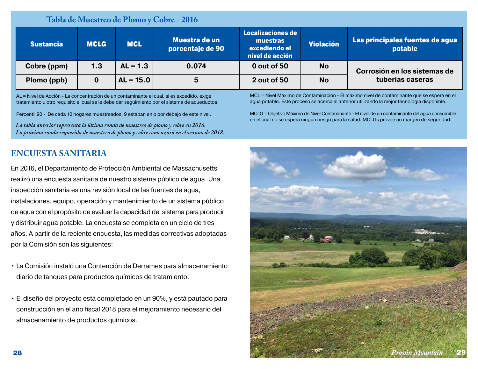|  | Tabla de Muestreo de Plomo y Cobre - 2016 |                          |
|--|-------------------------------------------|--------------------------|
|  |                                           | <b>Localizacionae de</b> |

| <b>Sustancia</b> | <b>MCLG</b> | <b>MCL</b>  | Muestra de un<br>porcentaje de 90 | Localizaciones de<br>muestras<br>excediendo el<br>nivel de acción | <b>Violación</b> | Las principales fuentes de agua<br>potable |
|------------------|-------------|-------------|-----------------------------------|-------------------------------------------------------------------|------------------|--------------------------------------------|
| Cobre (ppm)      | 1.3         | $AL = 1.3$  | 0.074                             | 0 out of 50                                                       | <b>No</b>        | Corrosión en los sistemas de               |
| Plomo (ppb)      |             | $AL = 15.0$ | 5                                 | 2 out of 50                                                       | <b>No</b>        | tuberías caseras                           |

AL = Nivel de Acción - La concentración de un contaminante el cual, sí es excedido, exige tratamiento u otro requisito el cual se le debe dar seguimiento por el sistema de acueductos.

Percentil 90 - De cada 10 hogares muestreados, 9 estaban en o por debajo de este nivel.

*La tabla anterior representa la última ronda de muestreo de plomo y cobre en 2016. La próxima ronda requerida de muestreo de plomo y cobre comenzará en el verano de 2018.* MCL = Nivel Máximo de Contaminación - El máximo nivel de contaminante que se espera en el agua potable. Este proceso se acerca al anterior utilizando la mejor tecnología disponible.

MCLG = Objetivo Máximo de Nivel Contaminante - El nivel de un contaminante del agua consumible en el cual no se espera ningún riesgo para la salud. MCLGs provee un margen de seguridad.

## **ENCUESTA SANITARIA**

En 2016, el Departamento de Protección Ambiental de Massachusetts realizó una encuesta sanitaria de nuestro sistema público de agua. Una inspección sanitaria es una revisión local de las fuentes de agua, instalaciones, equipo, operación y mantenimiento de un sistema público de agua con el propósito de evaluar la capacidad del sistema para producir y distribuir agua potable. La encuesta se completa en un ciclo de tres años. A partir de la reciente encuesta, las medidas correctivas adoptadas por la Comisión son las siguientes:

- La Comisión instaló una Contención de Derrames para almacenamiento diario de tanques para productos químicos de tratamiento.
- El diseño del proyecto está completado en un 90%, y está pautado para construcción en el año fiscal 2018 para el mejoramiento necesario del almacenamiento de productos químicos.

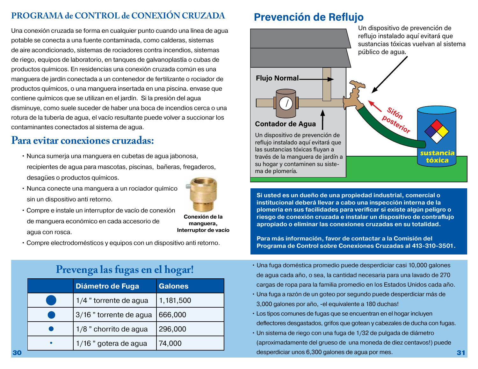## **PROGRAMA de CONTROL de CONEXIÓN CRUZADA**

Una conexión cruzada se forma en cualquier punto cuando una línea de agua potable se conecta a una fuente contaminada, como calderas, sistemas de aire acondicionado, sistemas de rociadores contra incendios, sistemas de riego, equipos de laboratorio, en tanques de galvanoplastía o cubas de productos químicos. En residencias una conexión cruzada común es una manguera de jardín conectada a un contenedor de fertilizante o rociador de productos químicos, o una manguera insertada en una piscina. envase que contiene químicos que se utilizan en el jardín. Si la presión del agua disminuye, como suele suceder de haber una boca de incendios cerca o una rotura de la tubería de agua, el vacío resultante puede volver a succionar los contaminantes conectados al sistema de agua.

# **Para evitar conexiones cruzadas:**

- Nunca sumerja una manguera en cubetas de agua jabonosa, recipientes de agua para mascotas, piscinas, bañeras, fregaderos, desagües o productos químicos.
- Nunca conecte una manguera a un rociador químico sin un dispositivo anti retorno.



**Conexión de la manguera,**

- Compre e instale un interruptor de vacío de conexión de manguera económico en cada accesorio de agua con rosca. **Interruptor de vacío**
- Compre electrodomésticos y equipos con un dispositivo anti retorno.

# **Prevenga las fugas en el hogar!**

|           | Diámetro de Fuga       | Galones   |
|-----------|------------------------|-----------|
|           | 1/4 " torrente de agua | 1,181,500 |
|           | 3/16" torrente de agua | 666,000   |
|           | 1/8 " chorrito de agua | 296,000   |
| $\bullet$ | 1/16 " gotera de agua  | 74,000    |

# **Prevención de Reflujo**



**Si usted es un dueño de una propiedad industrial, comercial o institucional deberá llevar a cabo una inspección interna de la plomería en sus facilidades para verificar si existe algún peligro o riesgo de conexión cruzada e instalar un dispositivo de contraflujo apropiado o eliminar las conexiones cruzadas en su totalidad.**

**Para más información, favor de contactar a la Comisión del Programa de Control sobre Conexiones Cruzadas al 413-310-3501.**

- Una fuga doméstica promedio puede desperdiciar casi 10,000 galones de agua cada año, o sea, la cantidad necesaria para una lavado de 270 cargas de ropa para la familia promedio en los Estados Unidos cada año.
- Una fuga a razón de un goteo por segundo puede desperdiciar más de 3,000 galones por año, -el equivalente a 180 duchas!
- Los tipos comunes de fugas que se encuentran en el hogar incluyen deflectores desgastados, grifos que gotean y cabezales de ducha con fugas.
- Un sistema de riego con una fuga de 1/32 de pulgada de diámetro (aproximadamente del grueso de una moneda de diez centavos!) puede 30 30 31 desperdiciar unos 6,300 galones de agua por mes.<br>31